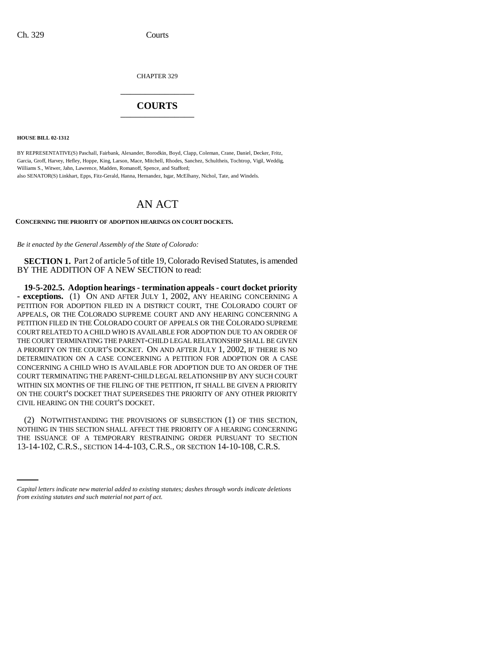CHAPTER 329 \_\_\_\_\_\_\_\_\_\_\_\_\_\_\_

## **COURTS** \_\_\_\_\_\_\_\_\_\_\_\_\_\_\_

**HOUSE BILL 02-1312**

BY REPRESENTATIVE(S) Paschall, Fairbank, Alexander, Borodkin, Boyd, Clapp, Coleman, Crane, Daniel, Decker, Fritz, Garcia, Groff, Harvey, Hefley, Hoppe, King, Larson, Mace, Mitchell, Rhodes, Sanchez, Schultheis, Tochtrop, Vigil, Weddig, Williams S., Witwer, Jahn, Lawrence, Madden, Romanoff, Spence, and Stafford; also SENATOR(S) Linkhart, Epps, Fitz-Gerald, Hanna, Hernandez, Isgar, McElhany, Nichol, Tate, and Windels.

## AN ACT

## **CONCERNING THE PRIORITY OF ADOPTION HEARINGS ON COURT DOCKETS.**

*Be it enacted by the General Assembly of the State of Colorado:*

**SECTION 1.** Part 2 of article 5 of title 19, Colorado Revised Statutes, is amended BY THE ADDITION OF A NEW SECTION to read:

**19-5-202.5. Adoption hearings - termination appeals - court docket priority - exceptions.** (1) ON AND AFTER JULY 1, 2002, ANY HEARING CONCERNING A PETITION FOR ADOPTION FILED IN A DISTRICT COURT, THE COLORADO COURT OF APPEALS, OR THE COLORADO SUPREME COURT AND ANY HEARING CONCERNING A PETITION FILED IN THE COLORADO COURT OF APPEALS OR THE COLORADO SUPREME COURT RELATED TO A CHILD WHO IS AVAILABLE FOR ADOPTION DUE TO AN ORDER OF THE COURT TERMINATING THE PARENT-CHILD LEGAL RELATIONSHIP SHALL BE GIVEN A PRIORITY ON THE COURT'S DOCKET. ON AND AFTER JULY 1, 2002, IF THERE IS NO DETERMINATION ON A CASE CONCERNING A PETITION FOR ADOPTION OR A CASE CONCERNING A CHILD WHO IS AVAILABLE FOR ADOPTION DUE TO AN ORDER OF THE COURT TERMINATING THE PARENT-CHILD LEGAL RELATIONSHIP BY ANY SUCH COURT WITHIN SIX MONTHS OF THE FILING OF THE PETITION, IT SHALL BE GIVEN A PRIORITY ON THE COURT'S DOCKET THAT SUPERSEDES THE PRIORITY OF ANY OTHER PRIORITY CIVIL HEARING ON THE COURT'S DOCKET.

THE ISSUANCE OF A TEMPORARY RESTRAINING ORDER PURSUANT TO SECTION (2) NOTWITHSTANDING THE PROVISIONS OF SUBSECTION (1) OF THIS SECTION, NOTHING IN THIS SECTION SHALL AFFECT THE PRIORITY OF A HEARING CONCERNING 13-14-102, C.R.S., SECTION 14-4-103, C.R.S., OR SECTION 14-10-108, C.R.S.

*Capital letters indicate new material added to existing statutes; dashes through words indicate deletions from existing statutes and such material not part of act.*